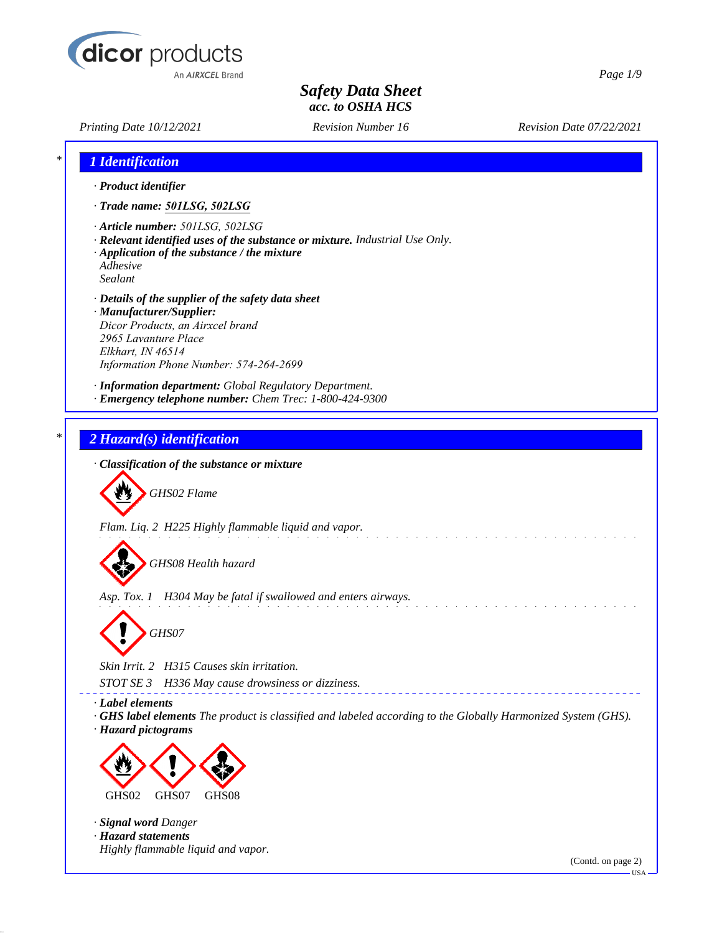

*Printing Date 10/12/2021 Revision Number 16 Revision Date 07/22/2021*

*Page 1/9*

| 1 Identification                                                                                                                                                                                          |                                                                                                             |  |
|-----------------------------------------------------------------------------------------------------------------------------------------------------------------------------------------------------------|-------------------------------------------------------------------------------------------------------------|--|
| · Product identifier                                                                                                                                                                                      |                                                                                                             |  |
| · Trade name: 501LSG, 502LSG                                                                                                                                                                              |                                                                                                             |  |
| · Article number: 501LSG, 502LSG<br>· Application of the substance / the mixture<br>Adhesive<br>Sealant                                                                                                   | · Relevant identified uses of the substance or mixture. Industrial Use Only.                                |  |
| · Details of the supplier of the safety data sheet<br>· Manufacturer/Supplier:<br>Dicor Products, an Airxcel brand<br>2965 Lavanture Place<br>Elkhart, IN 46514<br>Information Phone Number: 574-264-2699 |                                                                                                             |  |
| · Information department: Global Regulatory Department.<br>· Emergency telephone number: Chem Trec: 1-800-424-9300                                                                                        |                                                                                                             |  |
| 2 Hazard(s) identification                                                                                                                                                                                |                                                                                                             |  |
| · Classification of the substance or mixture                                                                                                                                                              |                                                                                                             |  |
| GHS02 Flame                                                                                                                                                                                               |                                                                                                             |  |
| Flam. Liq. 2 H225 Highly flammable liquid and vapor.                                                                                                                                                      |                                                                                                             |  |
| GHS08 Health hazard                                                                                                                                                                                       |                                                                                                             |  |
| Asp. Tox. 1 H304 May be fatal if swallowed and enters airways.                                                                                                                                            |                                                                                                             |  |
| GHS07                                                                                                                                                                                                     |                                                                                                             |  |
| Skin Irrit. 2 H315 Causes skin irritation.                                                                                                                                                                |                                                                                                             |  |
| STOT SE 3<br>H336 May cause drowsiness or dizziness.                                                                                                                                                      |                                                                                                             |  |
| · Label elements<br>· Hazard pictograms                                                                                                                                                                   | GHS label elements The product is classified and labeled according to the Globally Harmonized System (GHS). |  |
|                                                                                                                                                                                                           |                                                                                                             |  |
| GHS02<br>GHS07<br>GHS08                                                                                                                                                                                   |                                                                                                             |  |
|                                                                                                                                                                                                           |                                                                                                             |  |
| · Signal word Danger                                                                                                                                                                                      |                                                                                                             |  |
| · Hazard statements<br>Highly flammable liquid and vapor.                                                                                                                                                 |                                                                                                             |  |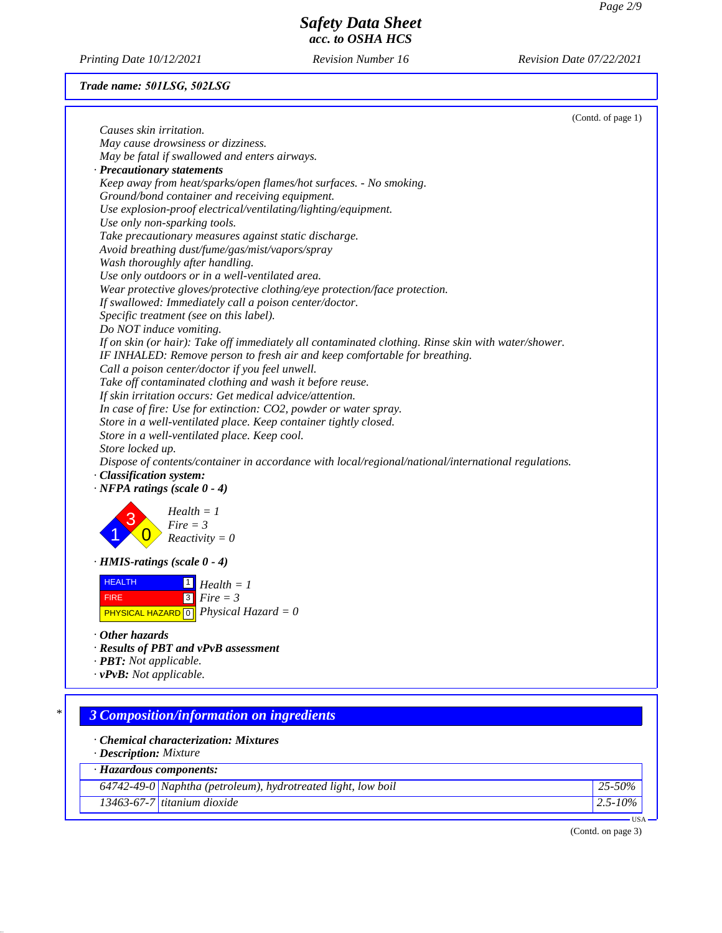*Printing Date 10/12/2021 Revision Number 16 Revision Date 07/22/2021*

## *Trade name: 501LSG, 502LSG*

| Causes skin irritation.<br>May cause drowsiness or dizziness.<br>May be fatal if swallowed and enters airways.<br>· Precautionary statements<br>Keep away from heat/sparks/open flames/hot surfaces. - No smoking.<br>Ground/bond container and receiving equipment.<br>Use explosion-proof electrical/ventilating/lighting/equipment.<br>Use only non-sparking tools.<br>Take precautionary measures against static discharge.<br>Avoid breathing dust/fume/gas/mist/vapors/spray<br>Wash thoroughly after handling.<br>Use only outdoors or in a well-ventilated area.<br>Wear protective gloves/protective clothing/eye protection/face protection.<br>If swallowed: Immediately call a poison center/doctor.<br>Specific treatment (see on this label).<br>Do NOT induce vomiting.<br>If on skin (or hair): Take off immediately all contaminated clothing. Rinse skin with water/shower.<br>IF INHALED: Remove person to fresh air and keep comfortable for breathing.<br>Call a poison center/doctor if you feel unwell.<br>Take off contaminated clothing and wash it before reuse.<br>If skin irritation occurs: Get medical advice/attention.<br>In case of fire: Use for extinction: CO2, powder or water spray.<br>Store in a well-ventilated place. Keep container tightly closed.<br>Store in a well-ventilated place. Keep cool.<br>Store locked up.<br>Dispose of contents/container in accordance with local/regional/national/international regulations.<br>· Classification system:<br>$\cdot$ NFPA ratings (scale 0 - 4)<br>$Health = 1$<br>$Fire = 3$<br>$Reactivity = 0$<br>$\cdot$ HMIS-ratings (scale 0 - 4)<br><b>HEALTH</b><br>$\boxed{1}$ Health = 1<br>$\sqrt{3}$<br>$Fire = 3$<br><b>FIRE</b><br><b>PHYSICAL HAZARD</b> $\boxed{0}$ <i>Physical Hazard</i> = 0<br>$\cdot$ Other hazards |        |
|---------------------------------------------------------------------------------------------------------------------------------------------------------------------------------------------------------------------------------------------------------------------------------------------------------------------------------------------------------------------------------------------------------------------------------------------------------------------------------------------------------------------------------------------------------------------------------------------------------------------------------------------------------------------------------------------------------------------------------------------------------------------------------------------------------------------------------------------------------------------------------------------------------------------------------------------------------------------------------------------------------------------------------------------------------------------------------------------------------------------------------------------------------------------------------------------------------------------------------------------------------------------------------------------------------------------------------------------------------------------------------------------------------------------------------------------------------------------------------------------------------------------------------------------------------------------------------------------------------------------------------------------------------------------------------------------------------------------------------------------------------------------------------------------------------------------|--------|
|                                                                                                                                                                                                                                                                                                                                                                                                                                                                                                                                                                                                                                                                                                                                                                                                                                                                                                                                                                                                                                                                                                                                                                                                                                                                                                                                                                                                                                                                                                                                                                                                                                                                                                                                                                                                                     |        |
|                                                                                                                                                                                                                                                                                                                                                                                                                                                                                                                                                                                                                                                                                                                                                                                                                                                                                                                                                                                                                                                                                                                                                                                                                                                                                                                                                                                                                                                                                                                                                                                                                                                                                                                                                                                                                     |        |
|                                                                                                                                                                                                                                                                                                                                                                                                                                                                                                                                                                                                                                                                                                                                                                                                                                                                                                                                                                                                                                                                                                                                                                                                                                                                                                                                                                                                                                                                                                                                                                                                                                                                                                                                                                                                                     |        |
|                                                                                                                                                                                                                                                                                                                                                                                                                                                                                                                                                                                                                                                                                                                                                                                                                                                                                                                                                                                                                                                                                                                                                                                                                                                                                                                                                                                                                                                                                                                                                                                                                                                                                                                                                                                                                     |        |
|                                                                                                                                                                                                                                                                                                                                                                                                                                                                                                                                                                                                                                                                                                                                                                                                                                                                                                                                                                                                                                                                                                                                                                                                                                                                                                                                                                                                                                                                                                                                                                                                                                                                                                                                                                                                                     |        |
|                                                                                                                                                                                                                                                                                                                                                                                                                                                                                                                                                                                                                                                                                                                                                                                                                                                                                                                                                                                                                                                                                                                                                                                                                                                                                                                                                                                                                                                                                                                                                                                                                                                                                                                                                                                                                     |        |
|                                                                                                                                                                                                                                                                                                                                                                                                                                                                                                                                                                                                                                                                                                                                                                                                                                                                                                                                                                                                                                                                                                                                                                                                                                                                                                                                                                                                                                                                                                                                                                                                                                                                                                                                                                                                                     |        |
|                                                                                                                                                                                                                                                                                                                                                                                                                                                                                                                                                                                                                                                                                                                                                                                                                                                                                                                                                                                                                                                                                                                                                                                                                                                                                                                                                                                                                                                                                                                                                                                                                                                                                                                                                                                                                     |        |
|                                                                                                                                                                                                                                                                                                                                                                                                                                                                                                                                                                                                                                                                                                                                                                                                                                                                                                                                                                                                                                                                                                                                                                                                                                                                                                                                                                                                                                                                                                                                                                                                                                                                                                                                                                                                                     |        |
|                                                                                                                                                                                                                                                                                                                                                                                                                                                                                                                                                                                                                                                                                                                                                                                                                                                                                                                                                                                                                                                                                                                                                                                                                                                                                                                                                                                                                                                                                                                                                                                                                                                                                                                                                                                                                     |        |
|                                                                                                                                                                                                                                                                                                                                                                                                                                                                                                                                                                                                                                                                                                                                                                                                                                                                                                                                                                                                                                                                                                                                                                                                                                                                                                                                                                                                                                                                                                                                                                                                                                                                                                                                                                                                                     |        |
|                                                                                                                                                                                                                                                                                                                                                                                                                                                                                                                                                                                                                                                                                                                                                                                                                                                                                                                                                                                                                                                                                                                                                                                                                                                                                                                                                                                                                                                                                                                                                                                                                                                                                                                                                                                                                     |        |
|                                                                                                                                                                                                                                                                                                                                                                                                                                                                                                                                                                                                                                                                                                                                                                                                                                                                                                                                                                                                                                                                                                                                                                                                                                                                                                                                                                                                                                                                                                                                                                                                                                                                                                                                                                                                                     |        |
|                                                                                                                                                                                                                                                                                                                                                                                                                                                                                                                                                                                                                                                                                                                                                                                                                                                                                                                                                                                                                                                                                                                                                                                                                                                                                                                                                                                                                                                                                                                                                                                                                                                                                                                                                                                                                     |        |
|                                                                                                                                                                                                                                                                                                                                                                                                                                                                                                                                                                                                                                                                                                                                                                                                                                                                                                                                                                                                                                                                                                                                                                                                                                                                                                                                                                                                                                                                                                                                                                                                                                                                                                                                                                                                                     |        |
|                                                                                                                                                                                                                                                                                                                                                                                                                                                                                                                                                                                                                                                                                                                                                                                                                                                                                                                                                                                                                                                                                                                                                                                                                                                                                                                                                                                                                                                                                                                                                                                                                                                                                                                                                                                                                     |        |
|                                                                                                                                                                                                                                                                                                                                                                                                                                                                                                                                                                                                                                                                                                                                                                                                                                                                                                                                                                                                                                                                                                                                                                                                                                                                                                                                                                                                                                                                                                                                                                                                                                                                                                                                                                                                                     |        |
|                                                                                                                                                                                                                                                                                                                                                                                                                                                                                                                                                                                                                                                                                                                                                                                                                                                                                                                                                                                                                                                                                                                                                                                                                                                                                                                                                                                                                                                                                                                                                                                                                                                                                                                                                                                                                     |        |
|                                                                                                                                                                                                                                                                                                                                                                                                                                                                                                                                                                                                                                                                                                                                                                                                                                                                                                                                                                                                                                                                                                                                                                                                                                                                                                                                                                                                                                                                                                                                                                                                                                                                                                                                                                                                                     |        |
|                                                                                                                                                                                                                                                                                                                                                                                                                                                                                                                                                                                                                                                                                                                                                                                                                                                                                                                                                                                                                                                                                                                                                                                                                                                                                                                                                                                                                                                                                                                                                                                                                                                                                                                                                                                                                     |        |
|                                                                                                                                                                                                                                                                                                                                                                                                                                                                                                                                                                                                                                                                                                                                                                                                                                                                                                                                                                                                                                                                                                                                                                                                                                                                                                                                                                                                                                                                                                                                                                                                                                                                                                                                                                                                                     |        |
|                                                                                                                                                                                                                                                                                                                                                                                                                                                                                                                                                                                                                                                                                                                                                                                                                                                                                                                                                                                                                                                                                                                                                                                                                                                                                                                                                                                                                                                                                                                                                                                                                                                                                                                                                                                                                     |        |
|                                                                                                                                                                                                                                                                                                                                                                                                                                                                                                                                                                                                                                                                                                                                                                                                                                                                                                                                                                                                                                                                                                                                                                                                                                                                                                                                                                                                                                                                                                                                                                                                                                                                                                                                                                                                                     |        |
|                                                                                                                                                                                                                                                                                                                                                                                                                                                                                                                                                                                                                                                                                                                                                                                                                                                                                                                                                                                                                                                                                                                                                                                                                                                                                                                                                                                                                                                                                                                                                                                                                                                                                                                                                                                                                     |        |
|                                                                                                                                                                                                                                                                                                                                                                                                                                                                                                                                                                                                                                                                                                                                                                                                                                                                                                                                                                                                                                                                                                                                                                                                                                                                                                                                                                                                                                                                                                                                                                                                                                                                                                                                                                                                                     |        |
|                                                                                                                                                                                                                                                                                                                                                                                                                                                                                                                                                                                                                                                                                                                                                                                                                                                                                                                                                                                                                                                                                                                                                                                                                                                                                                                                                                                                                                                                                                                                                                                                                                                                                                                                                                                                                     |        |
|                                                                                                                                                                                                                                                                                                                                                                                                                                                                                                                                                                                                                                                                                                                                                                                                                                                                                                                                                                                                                                                                                                                                                                                                                                                                                                                                                                                                                                                                                                                                                                                                                                                                                                                                                                                                                     |        |
|                                                                                                                                                                                                                                                                                                                                                                                                                                                                                                                                                                                                                                                                                                                                                                                                                                                                                                                                                                                                                                                                                                                                                                                                                                                                                                                                                                                                                                                                                                                                                                                                                                                                                                                                                                                                                     |        |
|                                                                                                                                                                                                                                                                                                                                                                                                                                                                                                                                                                                                                                                                                                                                                                                                                                                                                                                                                                                                                                                                                                                                                                                                                                                                                                                                                                                                                                                                                                                                                                                                                                                                                                                                                                                                                     |        |
|                                                                                                                                                                                                                                                                                                                                                                                                                                                                                                                                                                                                                                                                                                                                                                                                                                                                                                                                                                                                                                                                                                                                                                                                                                                                                                                                                                                                                                                                                                                                                                                                                                                                                                                                                                                                                     |        |
|                                                                                                                                                                                                                                                                                                                                                                                                                                                                                                                                                                                                                                                                                                                                                                                                                                                                                                                                                                                                                                                                                                                                                                                                                                                                                                                                                                                                                                                                                                                                                                                                                                                                                                                                                                                                                     |        |
|                                                                                                                                                                                                                                                                                                                                                                                                                                                                                                                                                                                                                                                                                                                                                                                                                                                                                                                                                                                                                                                                                                                                                                                                                                                                                                                                                                                                                                                                                                                                                                                                                                                                                                                                                                                                                     |        |
|                                                                                                                                                                                                                                                                                                                                                                                                                                                                                                                                                                                                                                                                                                                                                                                                                                                                                                                                                                                                                                                                                                                                                                                                                                                                                                                                                                                                                                                                                                                                                                                                                                                                                                                                                                                                                     |        |
|                                                                                                                                                                                                                                                                                                                                                                                                                                                                                                                                                                                                                                                                                                                                                                                                                                                                                                                                                                                                                                                                                                                                                                                                                                                                                                                                                                                                                                                                                                                                                                                                                                                                                                                                                                                                                     |        |
|                                                                                                                                                                                                                                                                                                                                                                                                                                                                                                                                                                                                                                                                                                                                                                                                                                                                                                                                                                                                                                                                                                                                                                                                                                                                                                                                                                                                                                                                                                                                                                                                                                                                                                                                                                                                                     |        |
|                                                                                                                                                                                                                                                                                                                                                                                                                                                                                                                                                                                                                                                                                                                                                                                                                                                                                                                                                                                                                                                                                                                                                                                                                                                                                                                                                                                                                                                                                                                                                                                                                                                                                                                                                                                                                     |        |
| · Results of PBT and vPvB assessment                                                                                                                                                                                                                                                                                                                                                                                                                                                                                                                                                                                                                                                                                                                                                                                                                                                                                                                                                                                                                                                                                                                                                                                                                                                                                                                                                                                                                                                                                                                                                                                                                                                                                                                                                                                |        |
| · <b>PBT</b> : Not applicable.                                                                                                                                                                                                                                                                                                                                                                                                                                                                                                                                                                                                                                                                                                                                                                                                                                                                                                                                                                                                                                                                                                                                                                                                                                                                                                                                                                                                                                                                                                                                                                                                                                                                                                                                                                                      |        |
| $\cdot$ vPvB: Not applicable.                                                                                                                                                                                                                                                                                                                                                                                                                                                                                                                                                                                                                                                                                                                                                                                                                                                                                                                                                                                                                                                                                                                                                                                                                                                                                                                                                                                                                                                                                                                                                                                                                                                                                                                                                                                       |        |
|                                                                                                                                                                                                                                                                                                                                                                                                                                                                                                                                                                                                                                                                                                                                                                                                                                                                                                                                                                                                                                                                                                                                                                                                                                                                                                                                                                                                                                                                                                                                                                                                                                                                                                                                                                                                                     |        |
| 3 Composition/information on ingredients                                                                                                                                                                                                                                                                                                                                                                                                                                                                                                                                                                                                                                                                                                                                                                                                                                                                                                                                                                                                                                                                                                                                                                                                                                                                                                                                                                                                                                                                                                                                                                                                                                                                                                                                                                            |        |
|                                                                                                                                                                                                                                                                                                                                                                                                                                                                                                                                                                                                                                                                                                                                                                                                                                                                                                                                                                                                                                                                                                                                                                                                                                                                                                                                                                                                                                                                                                                                                                                                                                                                                                                                                                                                                     |        |
| Chemical characterization: Mixtures                                                                                                                                                                                                                                                                                                                                                                                                                                                                                                                                                                                                                                                                                                                                                                                                                                                                                                                                                                                                                                                                                                                                                                                                                                                                                                                                                                                                                                                                                                                                                                                                                                                                                                                                                                                 |        |
| · Description: Mixture                                                                                                                                                                                                                                                                                                                                                                                                                                                                                                                                                                                                                                                                                                                                                                                                                                                                                                                                                                                                                                                                                                                                                                                                                                                                                                                                                                                                                                                                                                                                                                                                                                                                                                                                                                                              |        |
| · Hazardous components:                                                                                                                                                                                                                                                                                                                                                                                                                                                                                                                                                                                                                                                                                                                                                                                                                                                                                                                                                                                                                                                                                                                                                                                                                                                                                                                                                                                                                                                                                                                                                                                                                                                                                                                                                                                             |        |
| $64742-49-0$ Naphtha (petroleum), hydrotreated light, low boil                                                                                                                                                                                                                                                                                                                                                                                                                                                                                                                                                                                                                                                                                                                                                                                                                                                                                                                                                                                                                                                                                                                                                                                                                                                                                                                                                                                                                                                                                                                                                                                                                                                                                                                                                      |        |
| 13463-67-7 titanium dioxide<br>$2.5 - 10%$                                                                                                                                                                                                                                                                                                                                                                                                                                                                                                                                                                                                                                                                                                                                                                                                                                                                                                                                                                                                                                                                                                                                                                                                                                                                                                                                                                                                                                                                                                                                                                                                                                                                                                                                                                          | 25-50% |

(Contd. on page 3)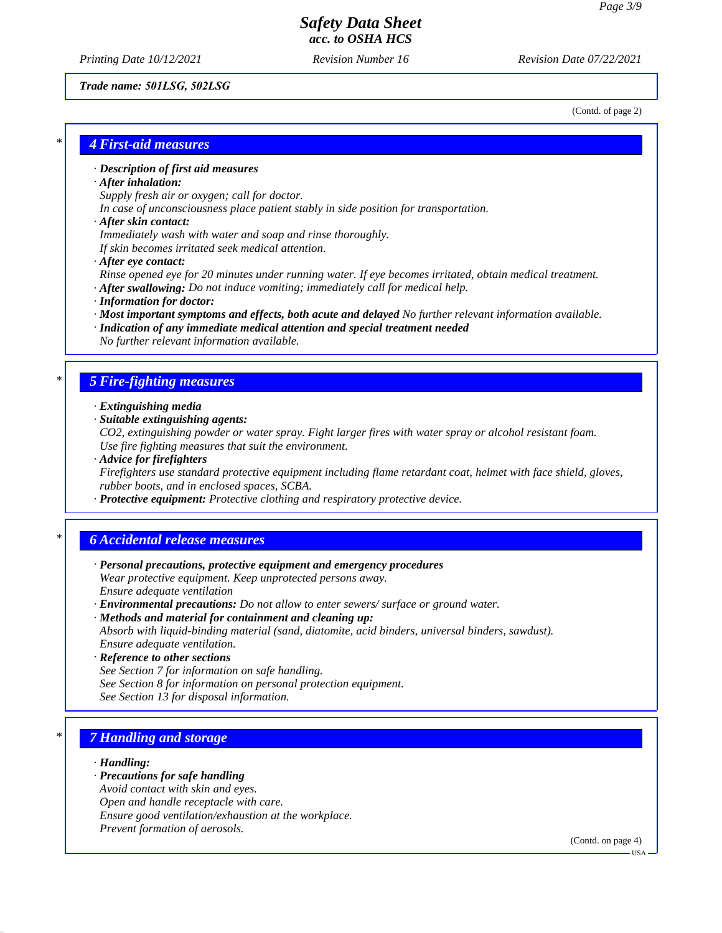*Printing Date 10/12/2021 Revision Number 16 Revision Date 07/22/2021*

#### *Trade name: 501LSG, 502LSG*

(Contd. of page 2)

## *\* 4 First-aid measures*

#### *· Description of first aid measures*

#### *· After inhalation:*

*Supply fresh air or oxygen; call for doctor.*

*In case of unconsciousness place patient stably in side position for transportation.*

#### *· After skin contact:*

*Immediately wash with water and soap and rinse thoroughly.*

*If skin becomes irritated seek medical attention.*

*· After eye contact:*

*Rinse opened eye for 20 minutes under running water. If eye becomes irritated, obtain medical treatment. · After swallowing: Do not induce vomiting; immediately call for medical help.*

- 
- *· Information for doctor:*
- *· Most important symptoms and effects, both acute and delayed No further relevant information available.*
- *· Indication of any immediate medical attention and special treatment needed No further relevant information available.*

### *\* 5 Fire-fighting measures*

- *· Extinguishing media*
- *· Suitable extinguishing agents:*
- *CO2, extinguishing powder or water spray. Fight larger fires with water spray or alcohol resistant foam. Use fire fighting measures that suit the environment.*
- *· Advice for firefighters*

*Firefighters use standard protective equipment including flame retardant coat, helmet with face shield, gloves, rubber boots, and in enclosed spaces, SCBA.*

*· Protective equipment: Protective clothing and respiratory protective device.*

### *\* 6 Accidental release measures*

- *· Personal precautions, protective equipment and emergency procedures Wear protective equipment. Keep unprotected persons away. Ensure adequate ventilation*
- *· Environmental precautions: Do not allow to enter sewers/ surface or ground water.*
- *· Methods and material for containment and cleaning up: Absorb with liquid-binding material (sand, diatomite, acid binders, universal binders, sawdust). Ensure adequate ventilation.*
- *· Reference to other sections*
- *See Section 7 for information on safe handling.*
- *See Section 8 for information on personal protection equipment.*
- *See Section 13 for disposal information.*

## *\* 7 Handling and storage*

#### *· Handling:*

- *· Precautions for safe handling*
- *Avoid contact with skin and eyes.*
- *Open and handle receptacle with care.*
- *Ensure good ventilation/exhaustion at the workplace.*
- *Prevent formation of aerosols.*

(Contd. on page 4)

USA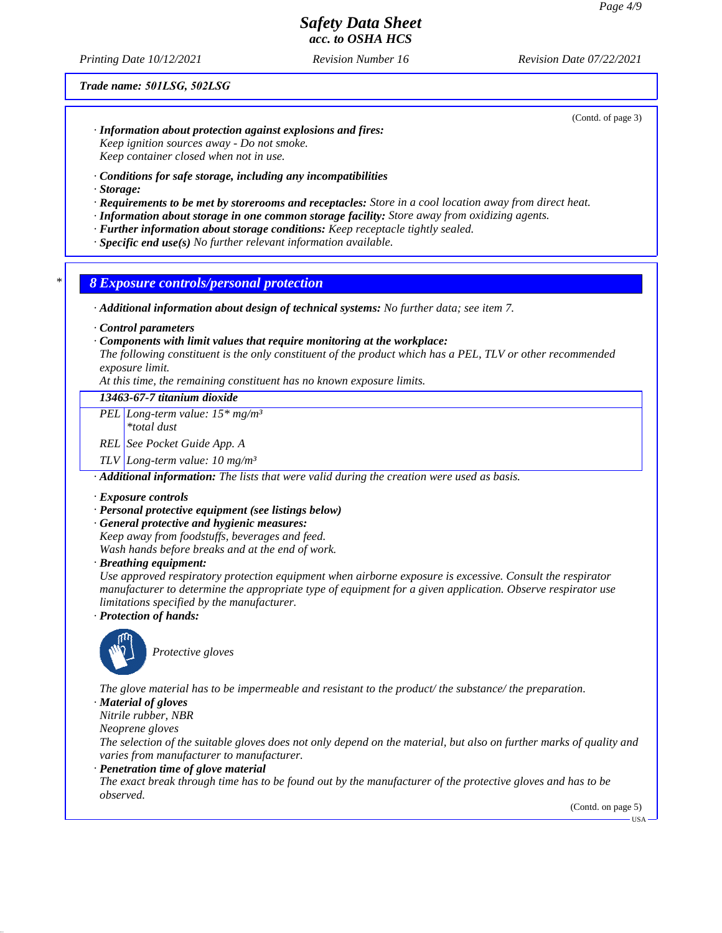*Printing Date 10/12/2021 Revision Number 16 Revision Date 07/22/2021*

#### *Trade name: 501LSG, 502LSG*

(Contd. of page 3)

- *· Information about protection against explosions and fires: Keep ignition sources away - Do not smoke. Keep container closed when not in use.*
- *· Conditions for safe storage, including any incompatibilities*
- *· Storage:*
- *· Requirements to be met by storerooms and receptacles: Store in a cool location away from direct heat.*
- *· Information about storage in one common storage facility: Store away from oxidizing agents.*
- *· Further information about storage conditions: Keep receptacle tightly sealed.*
- *· Specific end use(s) No further relevant information available.*

#### *\* 8 Exposure controls/personal protection*

*· Additional information about design of technical systems: No further data; see item 7.*

*· Control parameters*

#### *· Components with limit values that require monitoring at the workplace:*

*The following constituent is the only constituent of the product which has a PEL, TLV or other recommended exposure limit.*

*At this time, the remaining constituent has no known exposure limits.*

### *13463-67-7 titanium dioxide*

*PEL Long-term value: 15\* mg/m³*

*\*total dust*

*REL See Pocket Guide App. A*

*TLV Long-term value: 10 mg/m³*

*· Additional information: The lists that were valid during the creation were used as basis.*

#### *· Exposure controls*

#### *· Personal protective equipment (see listings below)*

*· General protective and hygienic measures:*

*Keep away from foodstuffs, beverages and feed.*

*Wash hands before breaks and at the end of work.*

*· Breathing equipment:*

*Use approved respiratory protection equipment when airborne exposure is excessive. Consult the respirator manufacturer to determine the appropriate type of equipment for a given application. Observe respirator use limitations specified by the manufacturer.*

*· Protection of hands:*



*Protective gloves*

*The glove material has to be impermeable and resistant to the product/ the substance/ the preparation.*

*· Material of gloves*

*Nitrile rubber, NBR*

*Neoprene gloves*

*The selection of the suitable gloves does not only depend on the material, but also on further marks of quality and varies from manufacturer to manufacturer.*

*· Penetration time of glove material*

*The exact break through time has to be found out by the manufacturer of the protective gloves and has to be observed.*

(Contd. on page 5)

**HSA**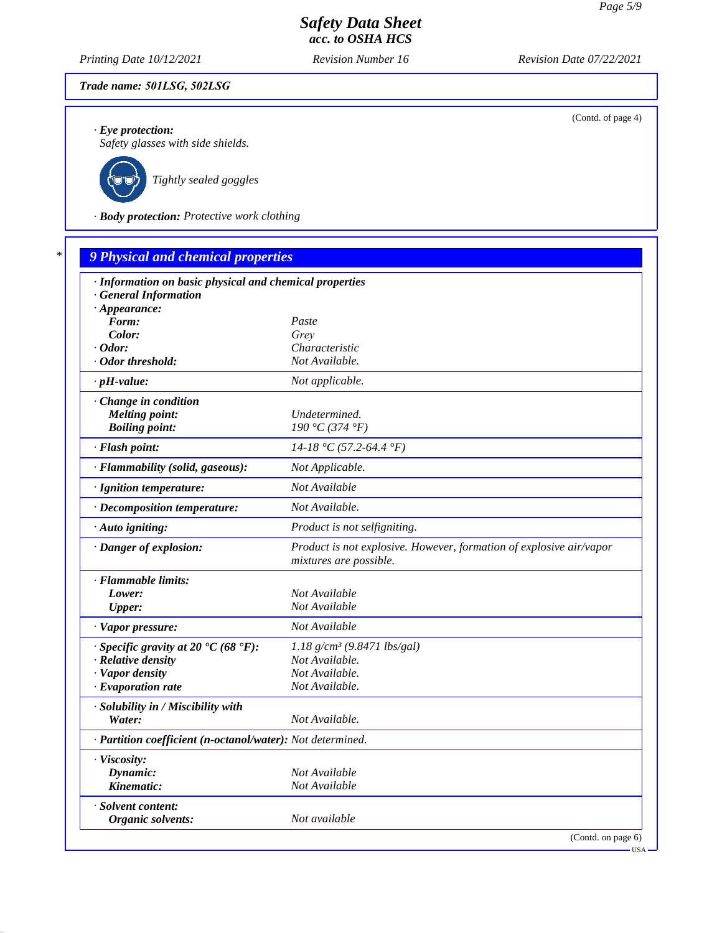*Printing Date 10/12/2021 Revision Number 16 Revision Date 07/22/2021*

### *Trade name: 501LSG, 502LSG*

*· Eye protection:*

*Safety glasses with side shields.*



*Tightly sealed goggles*

*· Body protection: Protective work clothing*

| · Information on basic physical and chemical properties    |                                                                                               |
|------------------------------------------------------------|-----------------------------------------------------------------------------------------------|
| <b>General Information</b>                                 |                                                                                               |
| $\cdot$ Appearance:                                        |                                                                                               |
| Form:                                                      | Paste                                                                                         |
| Color:                                                     | Grey                                                                                          |
| $\cdot$ Odor:<br>Odor threshold:                           | Characteristic<br>Not Available.                                                              |
|                                                            |                                                                                               |
| $\cdot$ pH-value:                                          | Not applicable.                                                                               |
| · Change in condition                                      |                                                                                               |
| <b>Melting point:</b>                                      | Undetermined.                                                                                 |
| <b>Boiling point:</b>                                      | 190 °C (374 °F)                                                                               |
| · Flash point:                                             | $14-18$ °C (57.2-64.4 °F)                                                                     |
| · Flammability (solid, gaseous):                           | Not Applicable.                                                                               |
| · Ignition temperature:                                    | Not Available                                                                                 |
| · Decomposition temperature:                               | Not Available.                                                                                |
| · Auto igniting:                                           | Product is not selfigniting.                                                                  |
| · Danger of explosion:                                     | Product is not explosive. However, formation of explosive air/vapor<br>mixtures are possible. |
| · Flammable limits:                                        |                                                                                               |
| Lower:                                                     | Not Available                                                                                 |
| <b>Upper:</b>                                              | Not Available                                                                                 |
| · Vapor pressure:                                          | Not Available                                                                                 |
| $\cdot$ Specific gravity at 20 °C (68 °F):                 | $1.18$ g/cm <sup>3</sup> (9.8471 lbs/gal)                                                     |
| · Relative density                                         | Not Available.                                                                                |
| · Vapor density                                            | Not Available.                                                                                |
| $\cdot$ Evaporation rate                                   | Not Available.                                                                                |
| · Solubility in / Miscibility with                         |                                                                                               |
| Water:                                                     | Not Available.                                                                                |
| · Partition coefficient (n-octanol/water): Not determined. |                                                                                               |
| · Viscosity:                                               |                                                                                               |
| Dynamic:                                                   | Not Available                                                                                 |
| Kinematic:                                                 | Not Available                                                                                 |
| · Solvent content:                                         |                                                                                               |
| Organic solvents:                                          | Not available                                                                                 |

(Contd. of page 4)

USA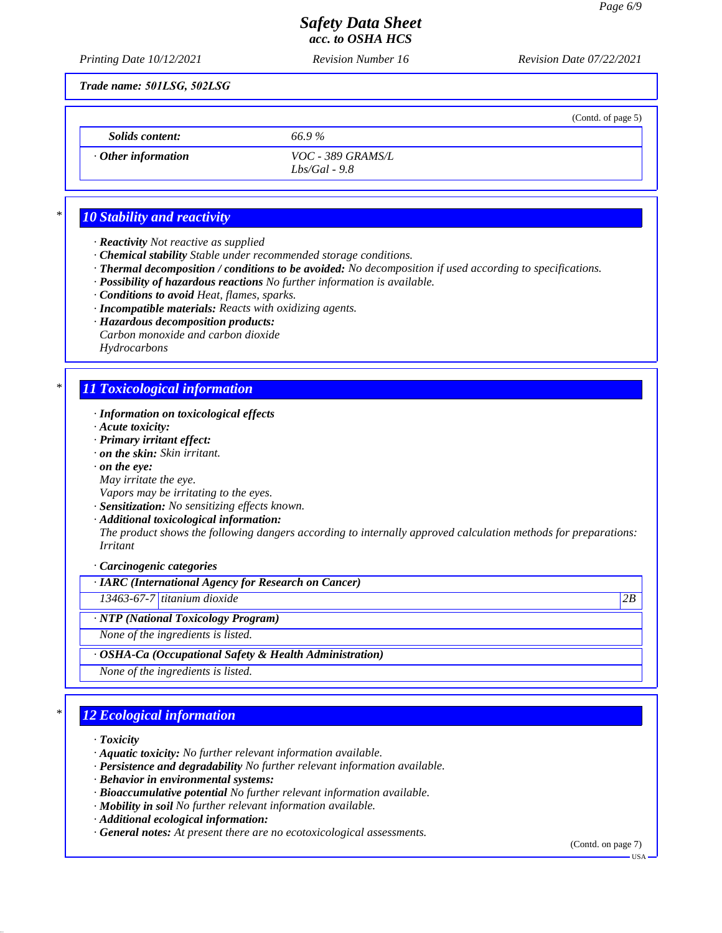(Contd. of page 5)

## *Safety Data Sheet acc. to OSHA HCS*

*Printing Date 10/12/2021 Revision Number 16 Revision Date 07/22/2021*

*Trade name: 501LSG, 502LSG*

*Solids content: 66.9 %*

*· Other information VOC - 389 GRAMS/L Lbs/Gal - 9.8*

## *\* 10 Stability and reactivity*

- *· Reactivity Not reactive as supplied*
- *· Chemical stability Stable under recommended storage conditions.*
- *· Thermal decomposition / conditions to be avoided: No decomposition if used according to specifications.*
- *· Possibility of hazardous reactions No further information is available.*
- *· Conditions to avoid Heat, flames, sparks.*
- *· Incompatible materials: Reacts with oxidizing agents.*
- *· Hazardous decomposition products:*
- *Carbon monoxide and carbon dioxide Hydrocarbons*

# *\* 11 Toxicological information*

- *· Information on toxicological effects*
- *· Acute toxicity:*
- *· Primary irritant effect:*
- *· on the skin: Skin irritant.*
- *· on the eye:*
- *May irritate the eye.*
- *Vapors may be irritating to the eyes.*
- *· Sensitization: No sensitizing effects known.*
- *· Additional toxicological information:*

*The product shows the following dangers according to internally approved calculation methods for preparations: Irritant*

*· Carcinogenic categories*

### *· IARC (International Agency for Research on Cancer)*

*13463-67-7 titanium dioxide 2B*

*· NTP (National Toxicology Program)*

*None of the ingredients is listed.*

### *· OSHA-Ca (Occupational Safety & Health Administration)*

*None of the ingredients is listed.*

## *\* 12 Ecological information*

- *· Toxicity*
- *· Aquatic toxicity: No further relevant information available.*
- *· Persistence and degradability No further relevant information available.*
- *· Behavior in environmental systems:*
- *· Bioaccumulative potential No further relevant information available.*
- *· Mobility in soil No further relevant information available.*
- *· Additional ecological information:*
- *· General notes: At present there are no ecotoxicological assessments.*

(Contd. on page 7)

USA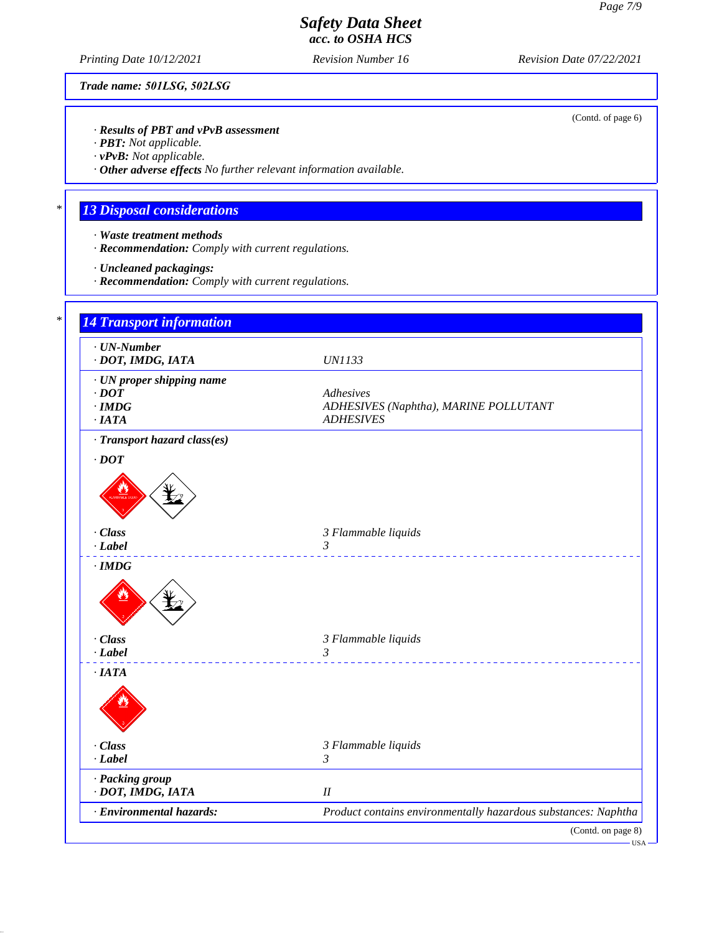(Contd. of page 6)

# *Safety Data Sheet acc. to OSHA HCS*

*Printing Date 10/12/2021 Revision Number 16 Revision Date 07/22/2021*

*Trade name: 501LSG, 502LSG*

*· Results of PBT and vPvB assessment*

*· PBT: Not applicable.*

*· vPvB: Not applicable.*

*· Other adverse effects No further relevant information available.*

# *\* 13 Disposal considerations*

- *· Waste treatment methods*
- *· Recommendation: Comply with current regulations.*
- *· Uncleaned packagings:*
- *· Recommendation: Comply with current regulations.*

| · DOT, IMDG, IATA                             | <b>UN1133</b>                                                            |
|-----------------------------------------------|--------------------------------------------------------------------------|
| · UN proper shipping name                     |                                                                          |
| $\cdot$ DOT                                   | Adhesives                                                                |
| $\cdot$ IMDG<br>·IATA                         | ADHESIVES (Naphtha), MARINE POLLUTANT<br><b>ADHESIVES</b>                |
| · Transport hazard class(es)                  |                                                                          |
| $\cdot$ DOT                                   |                                                                          |
|                                               |                                                                          |
|                                               |                                                                          |
| · Class                                       | 3 Flammable liquids                                                      |
| $-Label$                                      | 3<br>_______________________________                                     |
| $\cdot$ IMDG                                  |                                                                          |
|                                               |                                                                          |
| · Class                                       | 3 Flammable liquids                                                      |
| $-Label$                                      | $\mathfrak{Z}$<br><u>.</u>                                               |
| $\cdot$ IATA                                  |                                                                          |
|                                               |                                                                          |
| · Class                                       | 3 Flammable liquids                                                      |
| $-Label$                                      | $\mathfrak{Z}$                                                           |
| · Packing group                               |                                                                          |
| · DOT, IMDG, IATA<br>· Environmental hazards: | $I\!I$<br>Product contains environmentally hazardous substances: Naphtha |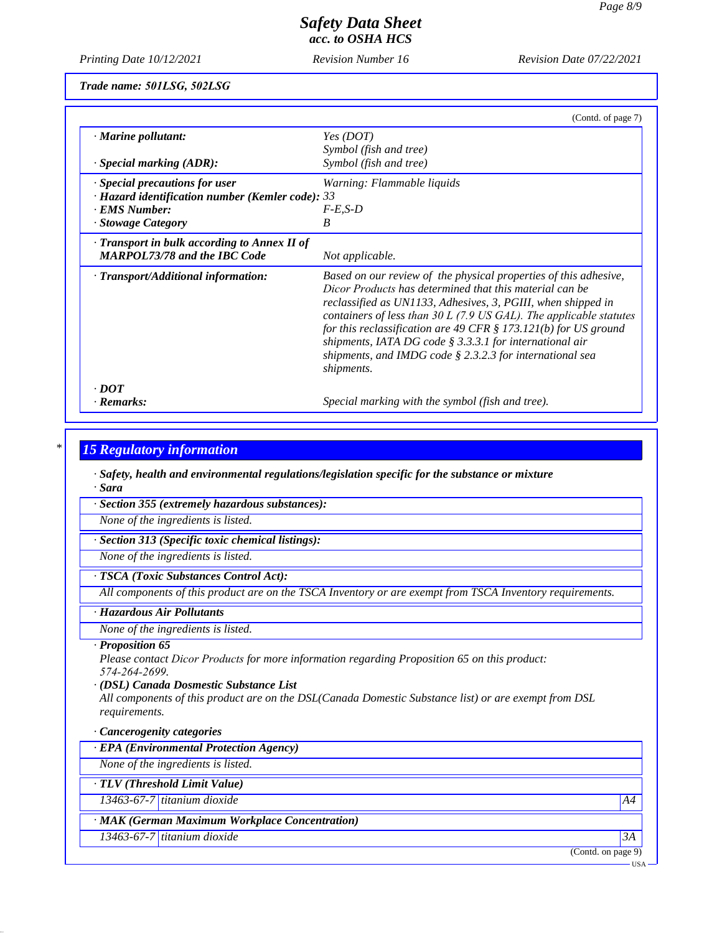*Printing Date 10/12/2021 Revision Number 16 Revision Date 07/22/2021*

*Trade name: 501LSG, 502LSG*

|                                                        | (Contd. of page 7)                                                                                                                                                                                                                                                                                                                                                                                                                                                                   |
|--------------------------------------------------------|--------------------------------------------------------------------------------------------------------------------------------------------------------------------------------------------------------------------------------------------------------------------------------------------------------------------------------------------------------------------------------------------------------------------------------------------------------------------------------------|
| $\cdot$ Marine pollutant:                              | Yes (DOT)                                                                                                                                                                                                                                                                                                                                                                                                                                                                            |
|                                                        | Symbol (fish and tree)                                                                                                                                                                                                                                                                                                                                                                                                                                                               |
| $\cdot$ Special marking (ADR):                         | Symbol (fish and tree)                                                                                                                                                                                                                                                                                                                                                                                                                                                               |
| $\cdot$ Special precautions for user                   | Warning: Flammable liquids                                                                                                                                                                                                                                                                                                                                                                                                                                                           |
| $\cdot$ Hazard identification number (Kemler code): 33 |                                                                                                                                                                                                                                                                                                                                                                                                                                                                                      |
| · EMS Number:                                          | $F-E.S-D$                                                                                                                                                                                                                                                                                                                                                                                                                                                                            |
| · Stowage Category                                     | B                                                                                                                                                                                                                                                                                                                                                                                                                                                                                    |
| $\cdot$ Transport in bulk according to Annex II of     |                                                                                                                                                                                                                                                                                                                                                                                                                                                                                      |
| <b>MARPOL73/78 and the IBC Code</b>                    | Not applicable.                                                                                                                                                                                                                                                                                                                                                                                                                                                                      |
| · Transport/Additional information:                    | Based on our review of the physical properties of this adhesive,<br>Dicor Products has determined that this material can be<br>reclassified as UN1133, Adhesives, 3, PGIII, when shipped in<br>containers of less than $30 L$ (7.9 US GAL). The applicable statutes<br>for this reclassification are 49 CFR $\S$ 173.121(b) for US ground<br>shipments, IATA DG code $\S$ 3.3.3.1 for international air<br>shipments, and IMDG code $\S$ 2.3.2.3 for international sea<br>shipments. |
| $\cdot$ DOT                                            |                                                                                                                                                                                                                                                                                                                                                                                                                                                                                      |
| · Remarks:                                             | Special marking with the symbol (fish and tree).                                                                                                                                                                                                                                                                                                                                                                                                                                     |

### *\* 15 Regulatory information*

*· Safety, health and environmental regulations/legislation specific for the substance or mixture · Sara*

*· Section 355 (extremely hazardous substances):*

*None of the ingredients is listed.*

*· Section 313 (Specific toxic chemical listings):*

*None of the ingredients is listed.*

#### *· TSCA (Toxic Substances Control Act):*

*All components of this product are on the TSCA Inventory or are exempt from TSCA Inventory requirements.*

### *· Hazardous Air Pollutants*

*None of the ingredients is listed.*

#### *· Proposition 65*

*Please contact Dicor Products for more information regarding Proposition 65 on this product: 574-264-2699.*

#### *· (DSL) Canada Dosmestic Substance List*

*All components of this product are on the DSL(Canada Domestic Substance list) or are exempt from DSL requirements.*

#### *· Cancerogenity categories*

*· EPA (Environmental Protection Agency)*

*None of the ingredients is listed.*

*· TLV (Threshold Limit Value)*

*13463-67-7 titanium dioxide A4*

## *· MAK (German Maximum Workplace Concentration)*

*13463-67-7 titanium dioxide 3A*

(Contd. on page 9)

USA